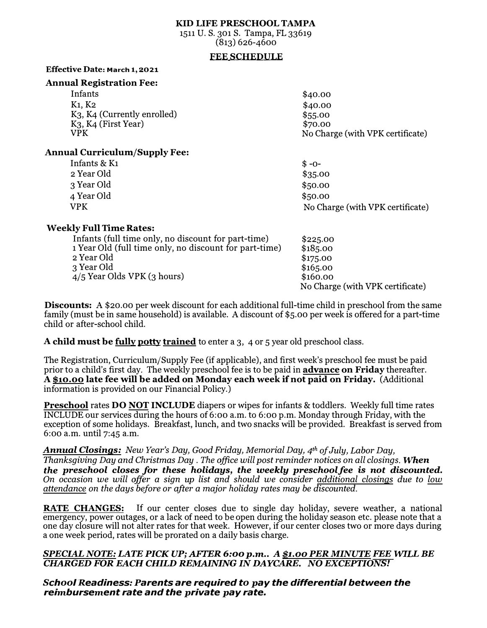### **KID LIFE PRESCHOOL TAMPA**

1511 U. S. 301 S. Tampa, FL 33619 (813) 626-4600

#### **FEE SCHEDULE**

#### **Effective Date: March 1, 2021**

#### **Annual Registration Fee:**

| Infants                            | \$40.00                          |
|------------------------------------|----------------------------------|
| K <sub>1</sub> , K <sub>2</sub>    | \$40.00                          |
| $K_3$ , $K_4$ (Currently enrolled) | \$55.00                          |
| $K3$ , $K4$ (First Year)           | \$70.00                          |
| VPK                                | No Charge (with VPK certificate) |
|                                    |                                  |

### **Annual Curriculum/Supply Fee:**

| .            |                                  |
|--------------|----------------------------------|
| Infants & K1 | $$ -0-$                          |
| 2 Year Old   | \$35.00                          |
| 3 Year Old   | \$50.00                          |
| 4 Year Old   | \$50.00                          |
| <b>VPK</b>   | No Charge (with VPK certificate) |
|              |                                  |

# **Weekly Full Time Rates:**

| Infants (full time only, no discount for part-time)    | \$225.00                         |
|--------------------------------------------------------|----------------------------------|
| 1 Year Old (full time only, no discount for part-time) | \$185.00                         |
| 2 Year Old                                             | \$175.00                         |
| 3 Year Old                                             | \$165.00                         |
| $4/5$ Year Olds VPK $(3 \text{ hours})$                | \$160.00                         |
|                                                        | No Charge (with VPK certificate) |

**Discounts:** A \$20.00 per week discount for each additional full-time child in preschool from the same family (must be in same household) is available. A discount of \$5.00 per week is offered for a part-time child or after-school child.

# **A child must be fully potty trained** to enter a 3, 4 or 5 year old preschool class.

The Registration, Curriculum/Supply Fee (if applicable), and first week's preschool fee must be paid prior to a child's first day. The weekly preschool fee is to be paid in **advance on Friday** thereafter. **A \$10.00 late fee will be added on Monday each week if not paid on Friday.** (Additional information is provided on our Financial Policy.)

**Preschool** rates **DO NOT INCLUDE** diapers or wipes for infants & toddlers. Weekly full time rates INCLUDE our services during the hours of 6:oo a.m. to 6:oo p.m. Monday through Friday, with the exception of some holidays. Breakfast, lunch, and two snacks will be provided. Breakfast is served from 6:oo a.m. until 7:45 a.m.

#### *Annual Closings: New Year's Day, Good Friday, Memorial Day, 4th of July, Labor Day,*

. *Thanksgiving Day and Christmas Day The office will post reminder notices on all closings. When the preschool closes for these holidays, the weekly preschoolfee is not discounted. On occasion we will offer a sign up list and should we consider additional closings due to low attendance on the days before or after a major holiday rates may be discounted.* 

**RATE CHANGES:** If our center closes due to single day holiday, severe weather, a national emergency, power outages, or a lack of need to be open during the holiday season etc. please note that a one day closure will not alter rates for that week. However,if our center closes two or more days during a one week period, rates will be prorated on a daily basis charge.

### *SPECIAL NOTE: LATE PICKUP; AFTER 6:oop.m .. A \$1.00 PER MINUTE FEE WILL BE CHARGED FOR EACH CHILD REMAINING IN DAYCARE. NO EXCEPTIONS!*

*School Readiness: Parents are required to pay the differential between the reimbursement rate and the private pay rate.*